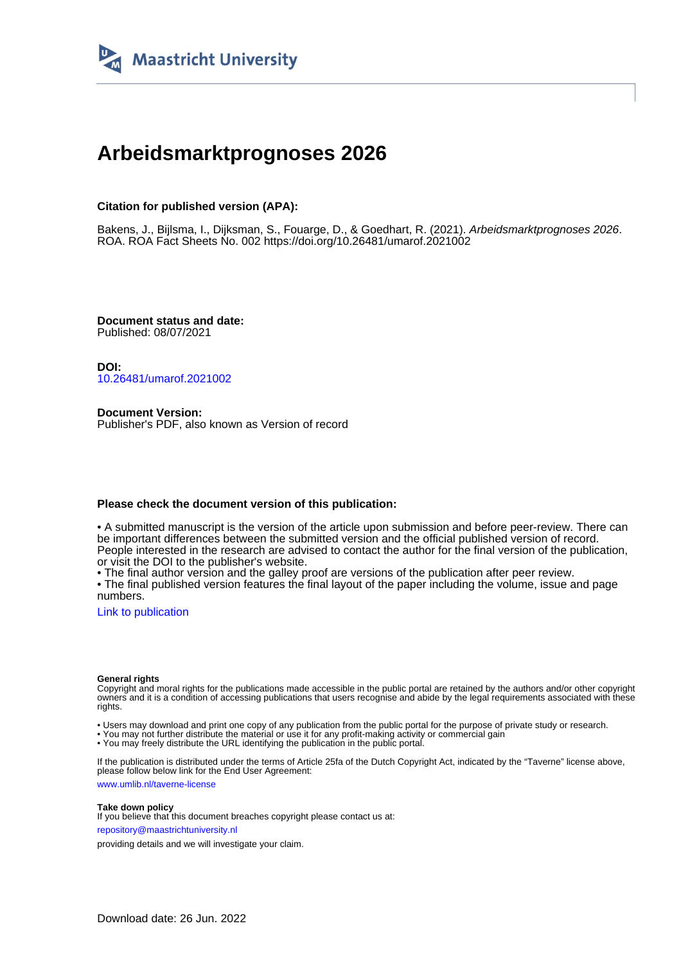

## **Arbeidsmarktprognoses 2026**

#### **Citation for published version (APA):**

Bakens, J., Bijlsma, I., Dijksman, S., Fouarge, D., & Goedhart, R. (2021). Arbeidsmarktprognoses 2026. ROA. ROA Fact Sheets No. 002 <https://doi.org/10.26481/umarof.2021002>

**Document status and date:** Published: 08/07/2021

**DOI:** [10.26481/umarof.2021002](https://doi.org/10.26481/umarof.2021002)

**Document Version:** Publisher's PDF, also known as Version of record

#### **Please check the document version of this publication:**

• A submitted manuscript is the version of the article upon submission and before peer-review. There can be important differences between the submitted version and the official published version of record. People interested in the research are advised to contact the author for the final version of the publication, or visit the DOI to the publisher's website.

• The final author version and the galley proof are versions of the publication after peer review.

• The final published version features the final layout of the paper including the volume, issue and page numbers.

[Link to publication](https://cris.maastrichtuniversity.nl/en/publications/9f849327-f9f9-4f50-9938-ade5cf1623fd)

#### **General rights**

Copyright and moral rights for the publications made accessible in the public portal are retained by the authors and/or other copyright owners and it is a condition of accessing publications that users recognise and abide by the legal requirements associated with these rights.

• Users may download and print one copy of any publication from the public portal for the purpose of private study or research.

• You may not further distribute the material or use it for any profit-making activity or commercial gain

• You may freely distribute the URL identifying the publication in the public portal.

If the publication is distributed under the terms of Article 25fa of the Dutch Copyright Act, indicated by the "Taverne" license above, please follow below link for the End User Agreement:

www.umlib.nl/taverne-license

#### **Take down policy**

If you believe that this document breaches copyright please contact us at: repository@maastrichtuniversity.nl

providing details and we will investigate your claim.